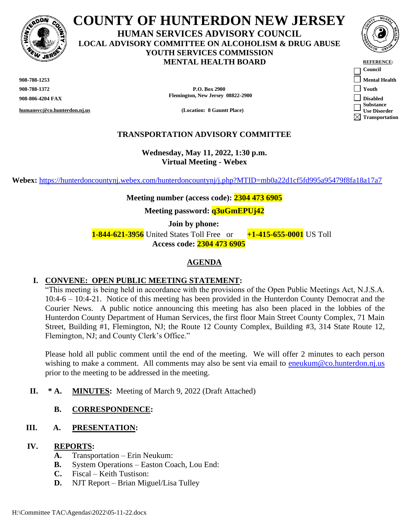

**COUNTY OF HUNTERDON NEW JERSEY HUMAN SERVICES ADVISORY COUNCIL LOCAL ADVISORY COMMITTEE ON ALCOHOLISM & DRUG ABUSE YOUTH SERVICES COMMISSION MENTAL HEALTH BOARD REFERENCE:** 

**908-788-1253 Mental Health**

**humansvc@co.hunterdon.nj.us (Location: 8 Gauntt Place)**

**908-788-1372 P.O. Box 2900 Youth 908-806-4204 FAX Flemington, New Jersey 08822-2900 Disabled**

## **TRANSPORTATION ADVISORY COMMITTEE**

**Wednesday, May 11, 2022, 1:30 p.m. Virtual Meeting - Webex**

**Webex:** <https://hunterdoncountynj.webex.com/hunterdoncountynj/j.php?MTID=mb0a22d1cf5fd995a95479f8fa18a17a7>

#### **Meeting number (access code): 2304 473 6905**

**Meeting password: q3uGmEPUj42**

**Join by phone:**

 **1-844-621-3956** United States Toll Free or **+1-415-655-0001** US Toll **Access code: 2304 473 6905**

#### **AGENDA**

### **I. CONVENE: OPEN PUBLIC MEETING STATEMENT:**

"This meeting is being held in accordance with the provisions of the Open Public Meetings Act, N.J.S.A. 10:4-6 – 10:4-21. Notice of this meeting has been provided in the Hunterdon County Democrat and the Courier News. A public notice announcing this meeting has also been placed in the lobbies of the Hunterdon County Department of Human Services, the first floor Main Street County Complex, 71 Main Street, Building #1, Flemington, NJ; the Route 12 County Complex, Building #3, 314 State Route 12, Flemington, NJ; and County Clerk's Office."

Please hold all public comment until the end of the meeting. We will offer 2 minutes to each person wishing to make a comment. All comments may also be sent via email to [eneukum@co.hunterdon.nj.us](mailto:eneukum@co.hunterdon.nj.us) prior to the meeting to be addressed in the meeting.

**II. \* A. MINUTES:** Meeting of March 9, 2022 (Draft Attached)

### **B. CORRESPONDENCE:**

#### **III. A. PRESENTATION:**

#### **IV. REPORTS:**

- **A.** Transportation Erin Neukum:
- **B.** System Operations Easton Coach, Lou End:
- **C.** Fiscal Keith Tustison:
- **D.** NJT Report Brian Miguel/Lisa Tulley



**Council Substance Use Disorder Transportation**